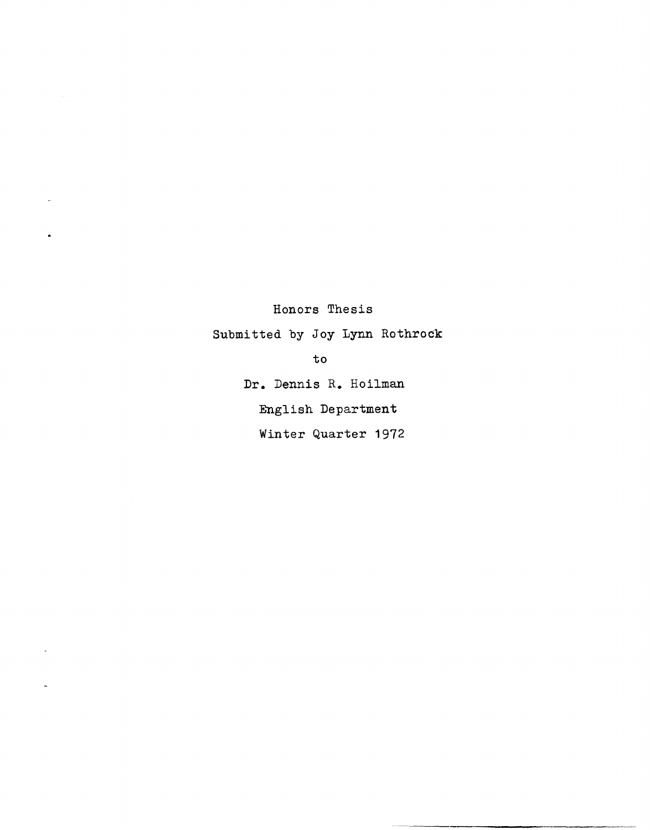Honors Thesis

 $\downarrow$ 

 $\hat{\textbf{r}}$ 

 $\ddot{\phantom{1}}$ 

Submitted by Joy Lynn Rothrock

to

Dr. Dennis R. Hoilman English Department Winter Quarter 1972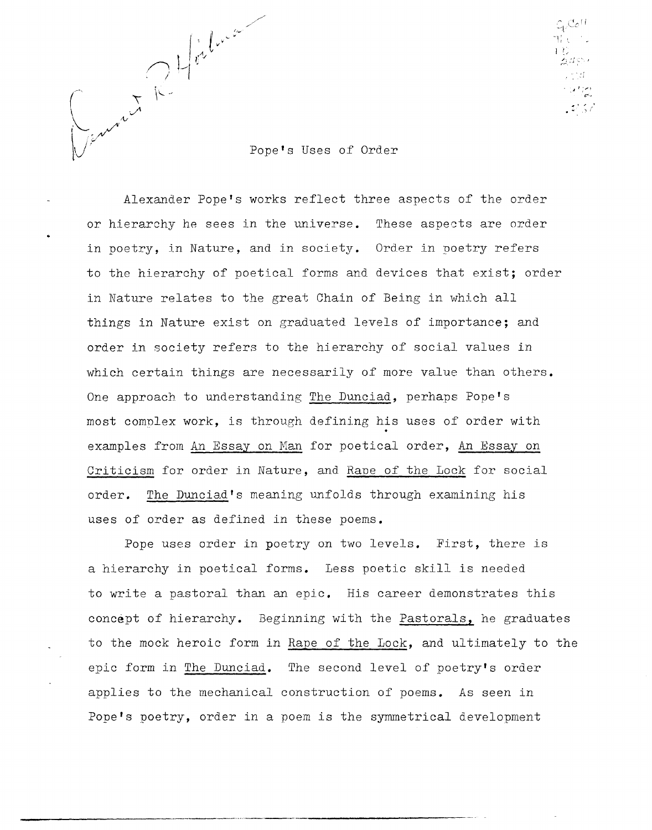

 $\mathbb{C}_{\mathfrak{t}'}$ Co $^{\mathfrak{t}'}$  $\overline{W}$  , , ,  $\Gamma$   $\cup$ 

Pope's Uses of Order

Alexander Pope's works reflect three aspects of the order or hierarchy he sees in the universe. These aspects are order in poetry, in Nature, and in society. Order in poetry refers to the hierarchy of poetical forms and devices that exist; order in Nature relates to the great Chain of Being in which all things in Nature exist on graduated levels of importance; and order in society refers to the hierarchy of social values in which certain things are necessarily of more value than others. One approach to understanding The Dunciad, perhaps Pope's most complex work, is through defining his uses of order with examples from An Essay on Man for poetical order, An Essay on Criticism for order in Nature, and Rane of the Lock for social order. The Dunciad's meaning unfolds through examining his uses of order as defined in these poems.

Pope uses order in poetry on two levels. First, there is a hierarchy in poetical forms. Less poetic skill is needed to write a pastoral than an epic. His career demonstrates this concept of hierarchy. Beginning with the Pastorals, he graduates to the mock heroic form in Rape of the Lock, and ultimately to the epic form in The Dunciad. The second level of poetry's order applies to the mechanical construction of poems. As seen in Pope's poetry, order in a poem is the symmetrical development

------\_ ... ------,------------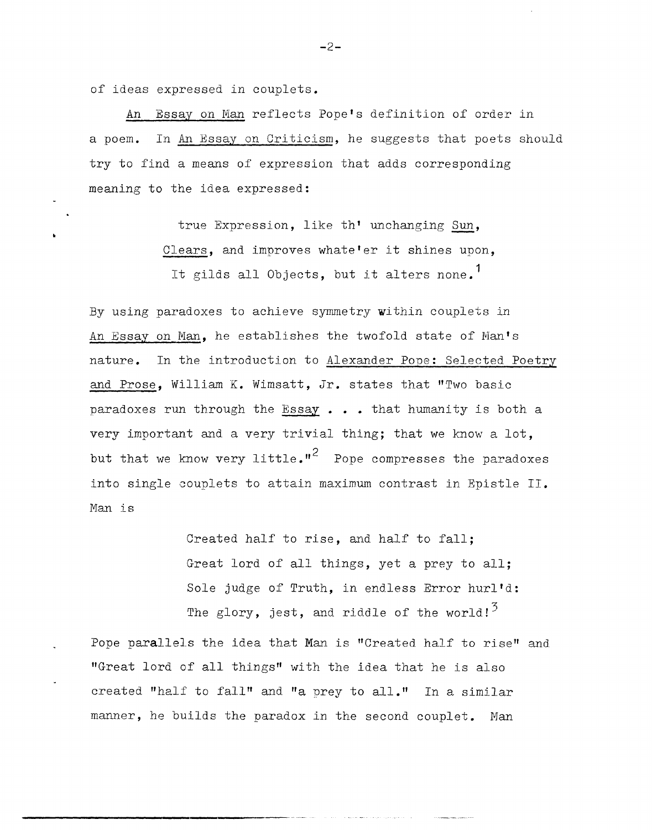of ideas expressed in couplets.

•

An Essay on Man reflects Pope's definition of order in a poem. In An Essay on Criticism, he suggests that poets should try to find a means of expression that adds corresponding meaning to the idea expressed:

> true Expression, like th' unchanging Sun, Clears, and improves whate'er it shines upon, It gilds all Objects, but it alters none.<sup>1</sup>

By using paradoxes to achieve symmetry within couplets in An Essay on Man, he establishes the twofold state of Man's nature. In the introduction to Alexander Pone: Selected Poetry and Prose, William K. Wimsatt, Jr. states that "Two basic paradoxes run through the Essay  $\ldots$  that humanity is both a very important and a very trivial thing; that we know a lot, but that we know very little.<sup> $n^2$ </sup> Pope compresses the paradoxes into single couplets to attain maximum contrast in Epistle II. Man is

> Created half to rise, and half to fall; Great lord of all things, yet a prey to all; Sole judge of Truth, in endless Error hurl'd: The glory, jest, and riddle of the world! $3$

Pope parallels the idea that Man is "Created half to rise" and "Great lord of all things" with the idea that he is also created "half to fall" and "a prey to all." In a similar manner, he builds the paradox in the second couplet. Man

-2-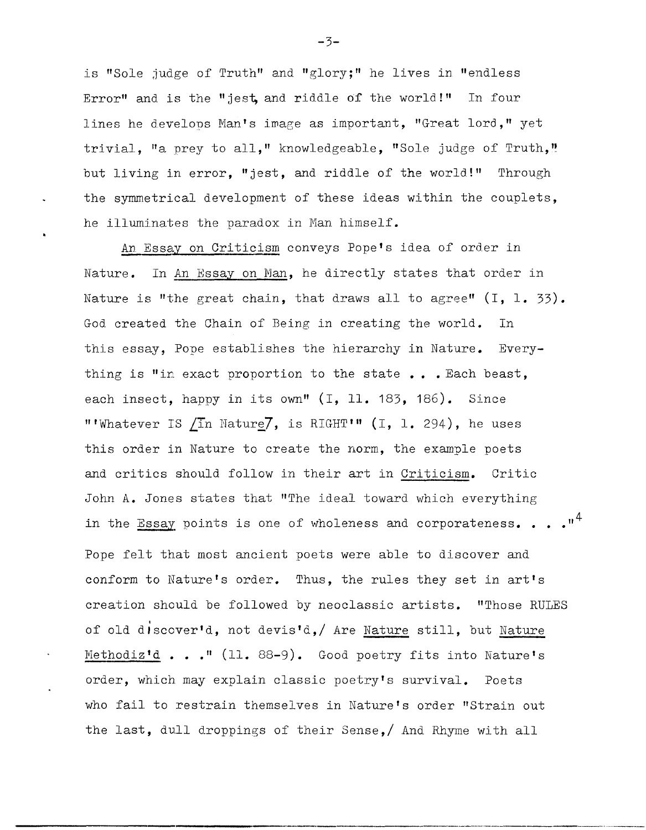is "Sole judge of Truth" and "glory;" he lives in "endless Error" and is the "jest and riddle of the world!" In four lines he develops Man's image as important, "Great lord," yet trivial. "a prey to all," knowledgeable, "Sole judge of Truth," but living in error, "jest, and riddle of the world!" Through the symmetrical development of these ideas within the couplets, he illuminates the paradox in Man himself.

An Essay on Criticism conveys Pope's idea of order in Nature. In An Essay on Man, he directly states that order in Nature is "the great chain, that draws all to agree"  $(I, 1, 33)$ . God created the Chain of Being in creating the world. In this essay, Pope establishes the hierarchy in Nature. Everything is "in exact proportion to the state ... Each beast. each insect, happy in its own" (I, 11. 183, 186). Since "'Whatever IS /In Nature7, is RIGHT'" (I, 1, 294), he uses this order in Nature to create the norm, the example poets and critics should follow in their art in Criticism. Critic John A. Jones states that "The ideal toward which everything in the  $\overline{\text{Essay}}$  points is one of wholeness and corporateness. . . ." Pope felt that most ancient poets were able to discover and conform to Nature's order. Thus, the rules they set in art's creation should be followed by neoclassic artists. "Those RULES of old discover'd, not devis'd,/ Are Nature still, but Nature Methodiz'd . . . " (11. 88-9). Good poetry fits into Nature's order, which may explain classic poetry's survival. Poets who fail to restrain themselves in Nature's order "Strain out the last, dull droppings of their Sense,/ And Rhyme with all

-------\_ .. \_-----------------\_ .. \_.\_--

 $-3-$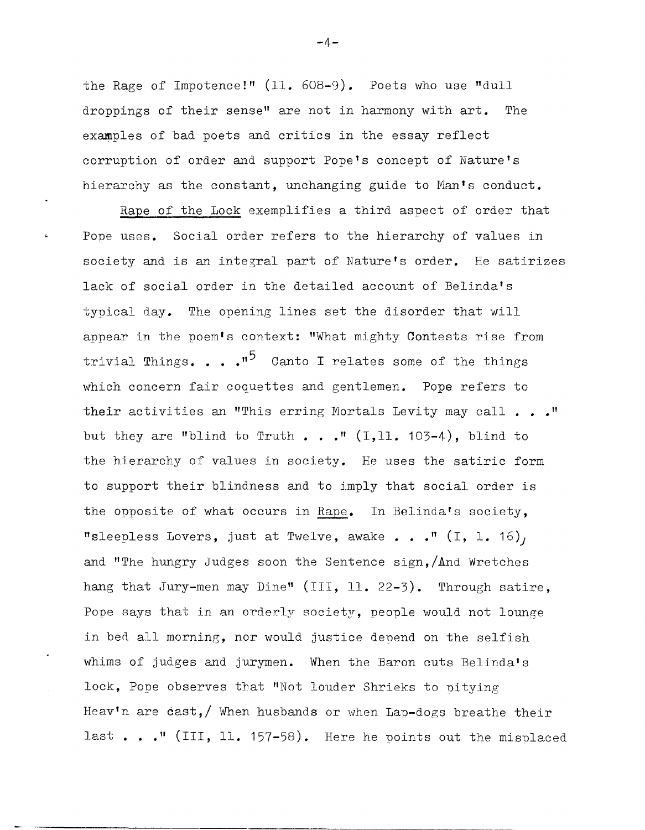the Rage of Impotence!" (11. 608-9). Poets who use "dull droppings of their sense" are not in harmony with art. The examples of bad poets and critics in the essay reflect corruption of order and support Pope's concept of Nature's hierarchy as the constant, unchanging guide to Man's conduct.

 $\hat{\mathbf{a}}$ 

Rape of the Lock exemplifies a third aspect of order that Pope uses. Social order refers to the hierarchy of values in society and is an integral part of Nature's order. He satirizes lack of social order in the detailed account of Belinda's typical day. The opening lines set the disorder that will appear in the poem's context: "What mighty Contests rise from trivial Things. . .  $\cdot$ <sup>15</sup> Canto I relates some of the things which concern fair coquettes and gentlemen. Pope refers to their activities an "This erring Mortals Levity may call . .  $\cdot$  " but they are "blind to Truth  $\ldots$  ." (I, 11. 103-4), blind to the hierarchy of values in society. He uses the satiric form to support their blindness and to imply that social order is the opposite of what occurs in Rape. In Belinda's society, "sleepless Lovers, just at Twelve, awake . . ." (I, 1. 16), and "The hungry Judges soon the Sentence sign,/And Wretches hang that Jury-men may Dine" (III, 11. 22-3). Through satire, Pope says that in an orderly society, people would not lounge in bed all morning, nor would justice denend on the selfish whims of judges and jurymen. When the Baron cuts Belinda's lock, Pope observes that "Not louder Shrieks to pitying Heav'n are cast, when husbands or when Lap-dogs breathe their last . . . " (III, 11. 157-58). Here he points out the misplaced

 $-4-$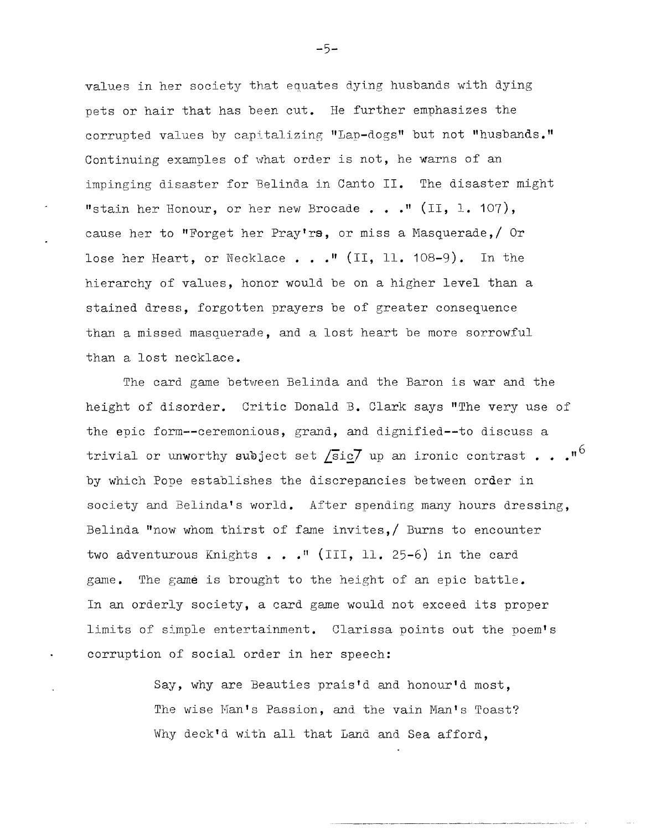values in her society that equates dying husbands with dying pets or hair that has been cut. He further emphasizes the corrupted values by capitalizing "Lap-dogs" but not "husbands." Continuing examples of what order is not, he warns of an impinging disaster for Belinda in Canto II. The disaster might "stain her Honour, or her new Brocade..."  $(II, 1. 107)$ , cause her to "Forget her Pray'rs, or miss a Masquerade,/ Or lose her Heart, or Necklace • **•• "** (II, 11. 108-9). In the hierarchy of values, honor would be on a higher level than a stained dress, forgotten prayers be of greater consequence than a missed masquerade, and a lost heart be more sorrowful than a lost necklace.

The card game between Belinda and the Baron is war and the height of disorder. Critic Donald B. Clark says "The very use of the epic form--ceremonious, grand, and dignified--to discuss a trivial or unworthy subject set  $\sqrt{\text{s}}$ ig7 up an ironic contrast . . .<sup>16</sup> by which Pope establishes the discrepancies between order in society and Belinda's world. After spending many hours dressing, Belinda "now whom thirst of fame invites,  $\beta$  Burns to encounter two adventurous Knights • **•• "** (III, 11. 25-6) in the card game. The game is brought to the height of an epic battle. In an orderly society, a card game would not exceed its proper limits of simple entertainment. Clarissa points out the poem's corruption of social order in her speech:

> Say, why are Beauties prais'd and honour'd most, The wise Man's Passion, and the vain Man's Toast? Why deck'd with all that Land and Sea afford,

-5-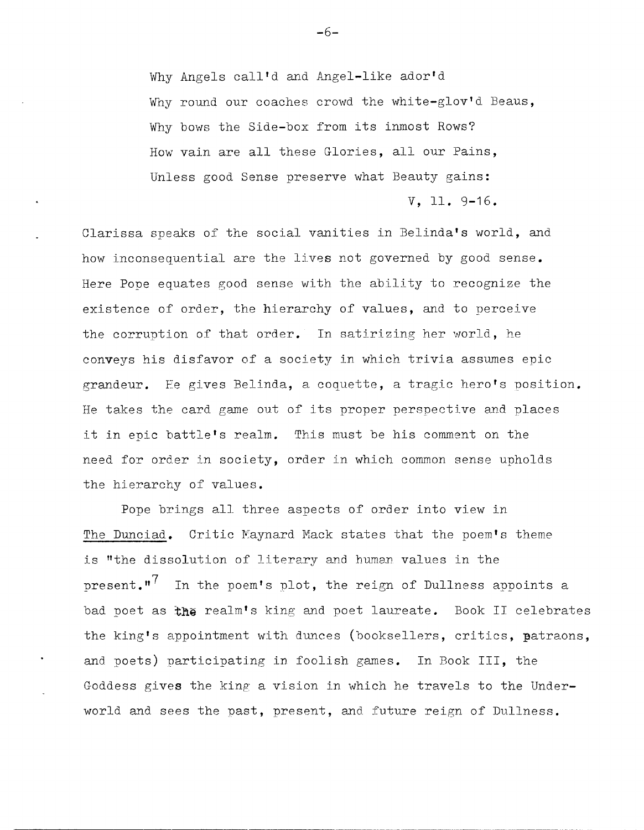Why Angels call'd and Angel-like ador'd Why round our coaches crowd the white-glov'd Beaus, Why bows the Side-box from its inmost Rows? How vain are all these Glories, all our Pains, Unless good Sense preserve what Beauty gains: V, 11. 9-16.

Clarissa speaks of the social vanities in Belinda's world, and how inconsequential are the lives not governed by good sense. Here Pope equates good sense with the ability to recognize the existence of order, the hierarchy of values, and to perceive the corruption of that order. In satirizing her world, he conveys his disfavor of a society in which trivia assumes epic grandeur. Fe gives Belinda, a coquette, a tragic hero's position. He takes the card game out of its proper perspective and places it in epic battle's realm. This must be his comment on the need for order in SOCiety, order in which common sense upholds the hierarchy of values.

Pope brings all three aspects of order into view in The Dunciad. Critic Maynard Mack states that the poem's theme is "the dissolution of literary and human values in the present. $n^7$  In the poem's plot, the reign of Dullness appoints a bad poet as **t.he** realm's king and poet laureate. Book II celebrates the king's appointment with dunces (booksellers, critics, patraons, and poets) participating in foolish games. In Book III, the Goddess gives the king' a vision in which he travels to the Underworld and sees the past, present, and future reign of Dullness.

**-6-**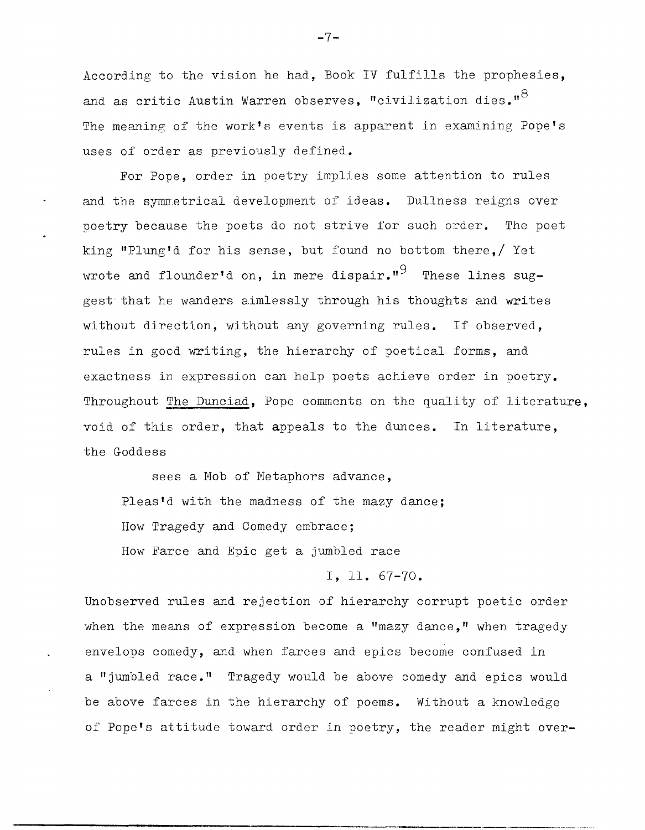According to the vision he had, Book IV fulfills the prophesies, and as critic Austin Warren observes, "civilization dies." $8$ The meaning of the work's events is apparent in examining Pope's uses of order as previously defined.

For Pope, order in poetry implies some attention to rules and the symmetrical development of ideas. Dullness reigns over poetry because the poets do not strive for such order. The poet king "Plung'd for his sense, but found no bottom there,/ Yet wrote and flounder'd on, in mere dispair."<sup>9</sup> These lines suggest that he wanders aimlessly through his thoughts and writes without direction, without any governing rules. If observed, rules in good writing, the hierarchy of poetical forms, and exactness in expression can help poets achieve order in poetry. Throughout The Dunciad, Pope comments on the quality of literature, void of this order, that appeals to the dunces. In literature, the Goddess

sees a Mob of Metaphors advance, Pleas'd with the madness of the mazy dance; How Tragedy and Comedy embrace; How Farce and Epic get a jumbled race

**I,ll.** 67-70.

Unobserved rules and rejection of hierarchy corrupt poetic order when the means of expression become a "mazy dance," when tragedy envelops comedy, and when farces and epics become confused in a "jumbled race." Tragedy would be above comedy and epics would be above farces in the hierarchy of poems. Without a knowledge of Pope's attitude toward order in poetry, the reader might over-

**-7-**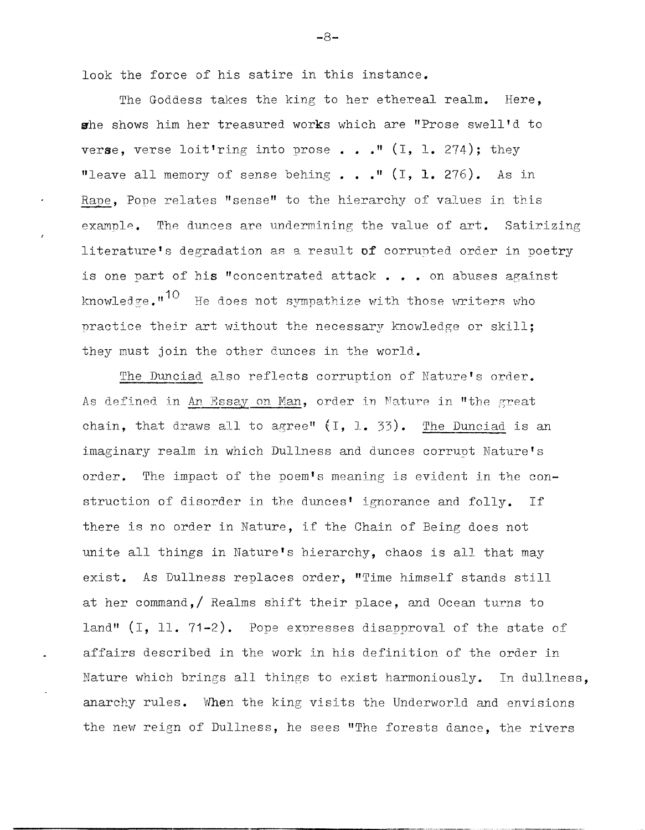look the force of his satire in this instance.

The Goddess takes the king to her ethereal realm. Here, she shows him her treasured works which are "Prose swell'd to verse, verse loit'ring into prose..." (I, 1. 274); they "leave all memory of sense behing • **• • "** (I, **1.** 276). As in Rape, Pope relates "sense" to the hierarchy of values in this example. The dunces are undermining the value of  $art$ . Satirizing literature's degradation as a result of corrunted order in poetry is one part of his "concentrated attack . . . on abuses against knowledge." $10$  He does not sympathize with those writers who practice their art without the necessary knowledge or skill; they must join the other dunces in the world.

The Dunciad also reflects corruption of Nature's order. As defined in An Essay on Man, order in Nature in "the great chain, that draws all to agree"  $(1, 1, 33)$ . The Dunciad is an imaginary realm in which Dullness and dunces corrupt Nature's order. The impact of the poem's meaning is evident in the construction of disorder in the dunces' ignorance and folly. If there is no order in Nature, if the Chain of Being does not unite all things in Nature's hierarchy, chaos is all that may exist. As Dullness replaces order, "Time himself stands still at her command,/ Realms shift their place, and Ocean turns to land" (I, 11, 71-2). Pope expresses disapproval of the state of affairs described in the work in his definition of the order in Nature which brings all things to exist harmoniously. In dullness, anarchy rules. When the king visits the Underworld and envisions the new reign of Dullness, he sees "The forests dance, the rivers

-----------\_.\_---------------\_.\_.\_---------------

-8-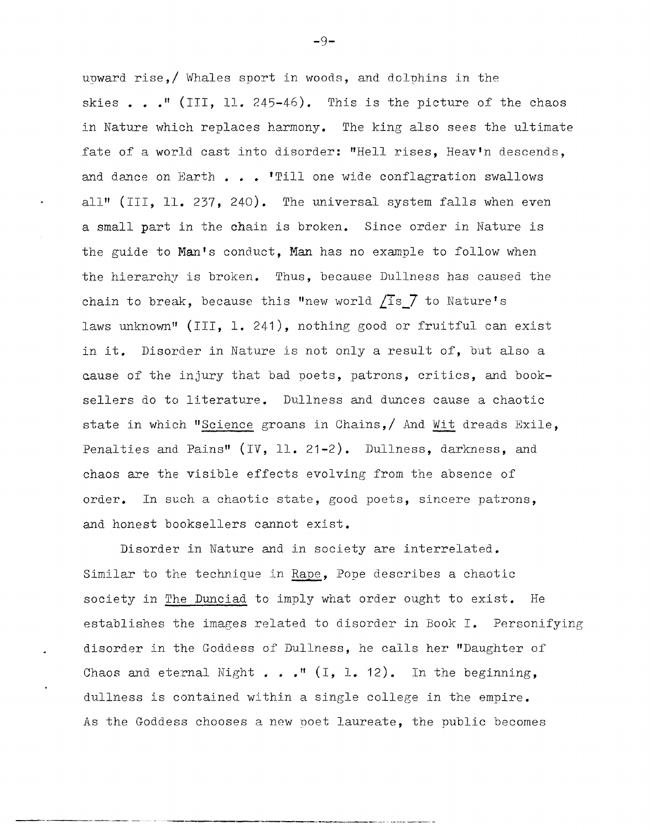upward rise,/ Whales sport in woods, and dolphins in the skies . . . " (III, 11. 245-46). This is the picture of the chaos in Nature which replaces harmony. The king also sees the ultimate fate of a world cast into disorder: "Hell rises, Heav'n descends, and dance on Earth . . . 'Till one wide conflagration swallows all" (III, 11. 237, 240). The universal system falls when *even*  a small part in the chain is broken. Since order in Nature is the guide to Man's conduct, Man has no example to follow when the hierarchy is broken. Thus, because Dullness has caused the chain to break, because this "new world *L1s\_7* to Nature's laws unknown" (III, 1. 241), nothing good or fruitful can exist in it. Disorder in Nature is not only a result of, but also a cause of the injury that bad poets, patrons, critics, and booksellers do to literature. Dullness and dunces cause a chaotic state in which "Science groans in Chains,/ And Wit dreads Exile, Penalties and Pains" (IV, 11. 21-2). Dullness, darkness, and chaos are the visible effects evolving from the absence of order. In such a chaotic state, good poets, sincere patrons, and honest booksellers cannot exist.

Disorder in Nature and in society are interrelated. Similar to the technique in Rape, Pope describes a chaotic society in The Dunciad to imply what order ought to exist. He establishes the images related to disorder in Book I. Personifying disorder in the Goddess of Dullness, he calls her "Daughter of Chaos and eternal Night  $\cdots$   $\cdots$  (I, 1. 12). In the beginning, dullness is contained within a single college in the empire. As the Goddess chooses a new poet laureate, the public becomes

-9-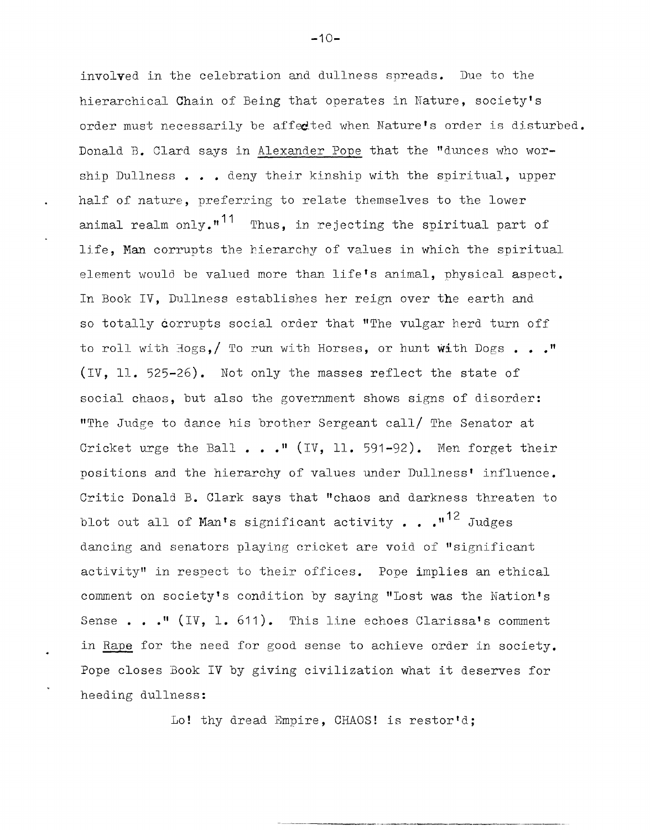involved in the celebration and dullness spreads. Due to the hierarchical Chain of Being that operates in Nature, society's order must necessarily be affedted when Nature's order is disturbed. Donald B. Clard says in Alexander Pope that the "dunces who worship Dullness . . . deny their kinship with the spiritual, upper half of nature, preferring to relate themselves to the lower animal realm only." $11$  Thus, in rejecting the spiritual part of 11fe, Man corrupts the hierarchy of values in which the spiritual element would be valued more than life's animal, physical aspect. In Book IV, Dullness establishes her reign over the earth and so totally corrupts social order that "The vulgar herd turn off to roll with  $\text{Hogs}_2 /$  To run with Horses, or hunt with Dogs  $\ldots$ ." (IV, 11. 525-26). Not only the masses reflect the state of social chaos, but also the government shows signs of disorder: "The Judge to dance his brother Sergeant call/ The Senator at Cricket urge the Ball • **•• "** (IV, 11. 591-92). Men forget their positions and the hierarchy of values under Dullness' influence. Critic Donald B. Clark says that "chaos and darkness threaten to blot out all of Man's significant activity . . .  $1^2$  Judges dancing and senators playing cricket are void of "significant activity" in respect to their offices. Pope implies an ethical comment on society's condition by saying "Lost was the Nation's Sense . . . <sup>"</sup> (IV, 1. 611). This line echoes Clarissa's comment in Rape for the need for good sense to achieve order in society. Pope closes Book IV by giving civilization what it deserves for heeding dullness:

Lo! thy dread Empire, CHAOS! is restor'd;

 $-10-$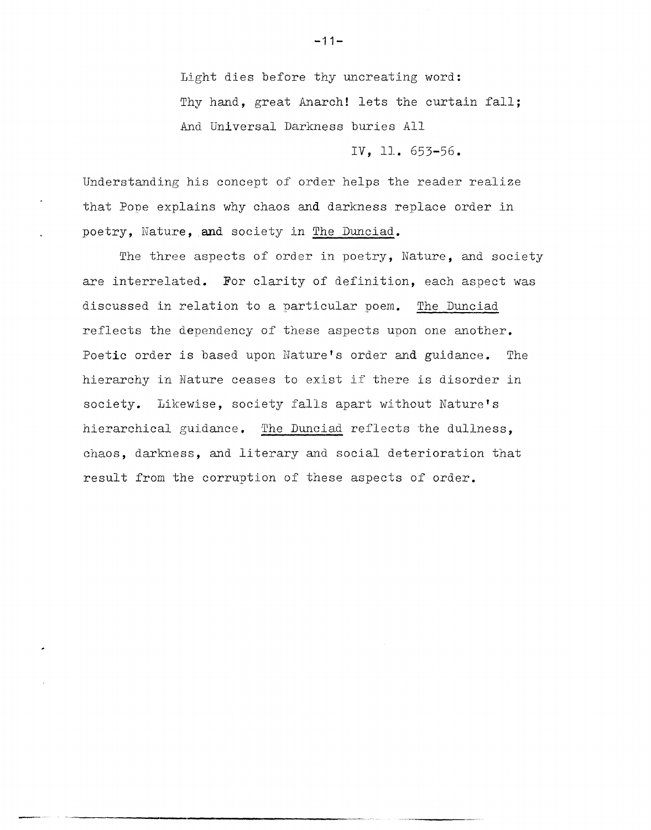Light dies before thy uncreating word: Thy hand, great Anarch! lets the curtain fall; And Universal Darkness buries All

IV, 11. 653-56.

Understanding his concept of order helps the reader realize that Pope explains why chaos and darkness replace order in poetry, Nature, and society in The Dunciad.

The three aspects of order in poetry, Nature, and society are interrelated. For clarity of definition, each aspect was discussed in relation to a particular poem. The Dunciad reflects the dependency of these aspects upon one another. Poetic order is based upon Nature's order and guidance. The hierarchy in Nature ceases to exist if there is disorder in society. Likewise, society falls apart without Nature's hierarchical guidance. The Dunciad reflects the dullness, chaos, darkness, and literary and social deterioration that result from the corruption of these aspects of order.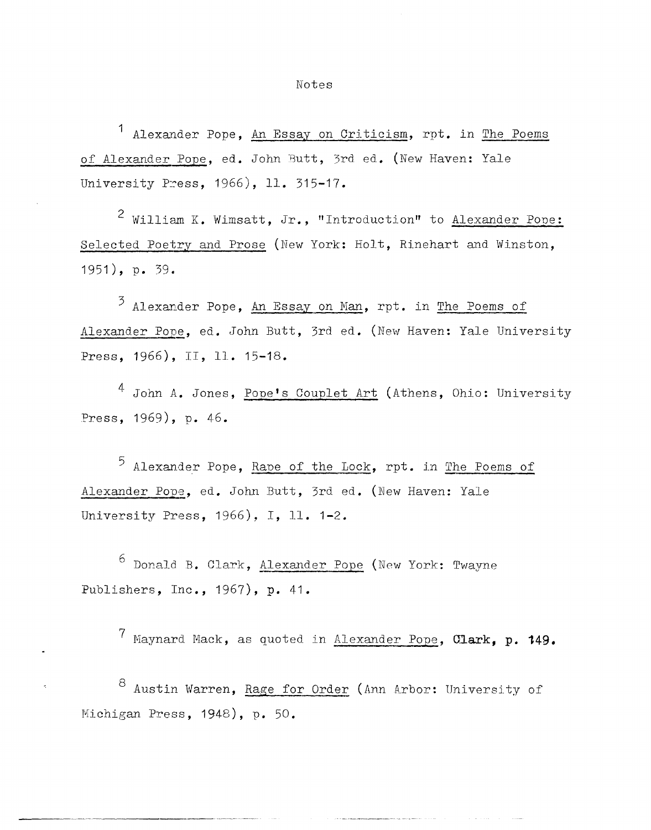Alexander Pope, An Essay on Criticism, rpt. in The Poems of Alexander Pope, ed. John Butt, 3rd ed. (New Haven: Yale University Press, 1966), 11. 315-17.

2 William K. Wimsatt, Jr., "Introduction" to Alexander Pone: Selected Poetry and Prose (New York: Holt, Rinehart and Winston, 1951), p. 39.

 $3$  Alexander Pope, An Essay on Man, rpt. in The Poems of Alexander Pope, ed. John Butt, 3rd ed. (New Haven: Yale University Press, 1966), II, 11. 15-18.

John A. Jones, Pope's Couplet Art (Athens, Ohio: University Press, 1969), p. 46.

 $5$  Alexander Pope, Rape of the Lock, rpt. in The Poems of Alexander Pope, ed. John Butt, 3rd ed. (New Haven: Yale University Press, 1966), I, 11. 1-2.

 $6$  Donald B. Clark, Alexander Pope (New York: Twayne Publishers, Inc., 1967), **p.** 41.

7 Maynard f'Iack, as quoted in Alexander **Pope, Q1ark, p. 149.** 

 $8$  Austin Warren, Rage for Order (Ann Arbor: University of Nichigan Press, 1948), p. 50.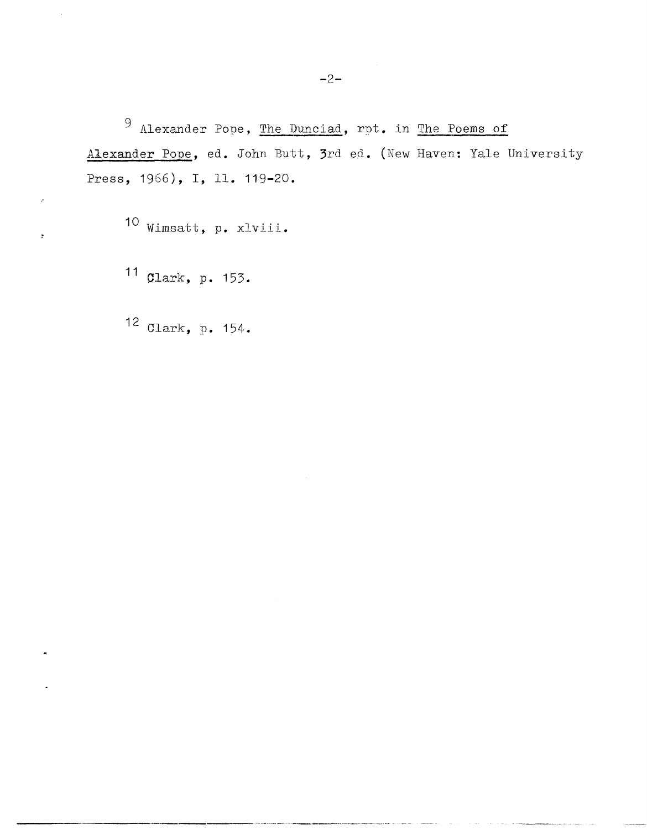9 Alexander Pope, The Dunciad, rpt. in The Poems of Alexander Pope, ed. John Butt, 3rd ed. (New Haven: Yale University Press, 1966), I, 11. 119-20.

-------------- ------------,,------------ --

10 Wimsatt, p. xlviii.

11 Clark, p. 153.

 $\mathbf{r}$ 

12 Clark, p. 154.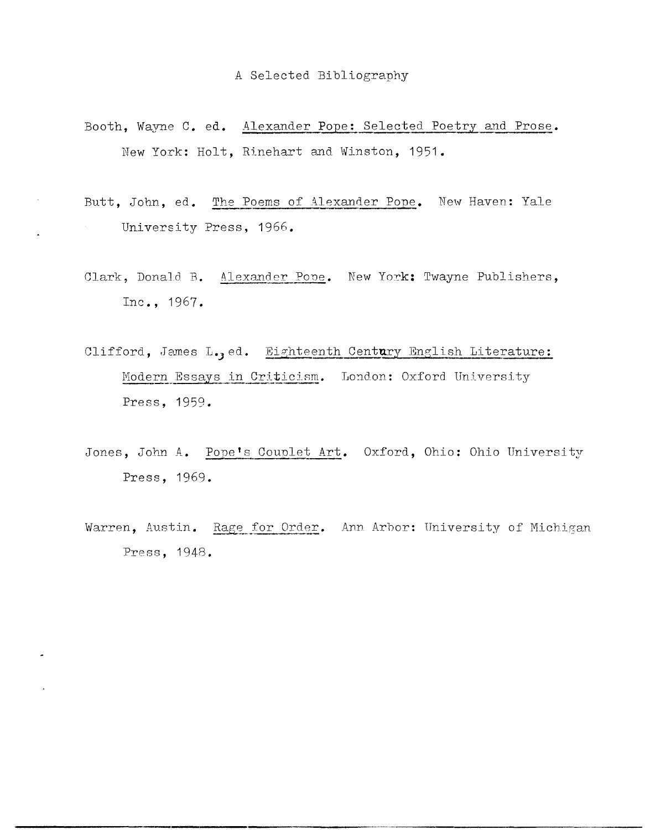- Booth, Wayne C. ed. Alexander Pope: Selected Poetry and Prose. New York: Holt, Rinehart and Winston, 1951.
- Butt, John, ed. The Poems of Alexander Pope. New Haven: Yale University Press, 1966.
- Clark, Donald B. Alexander Pope. New York: Twayne Publishers, Inc., 1967.
- Clifford, James L., ed. Eighteenth Century English Literature: Modern Essays in Criticism. London: Oxford University Press, 1959.
- Jones, John A. Pope's Couplet Art. Oxford, Ohio: Ohio University Press, 1969.
- Warren, Austin. Rage for Order. Ann Arbor: University of Michigan Press, 1948.